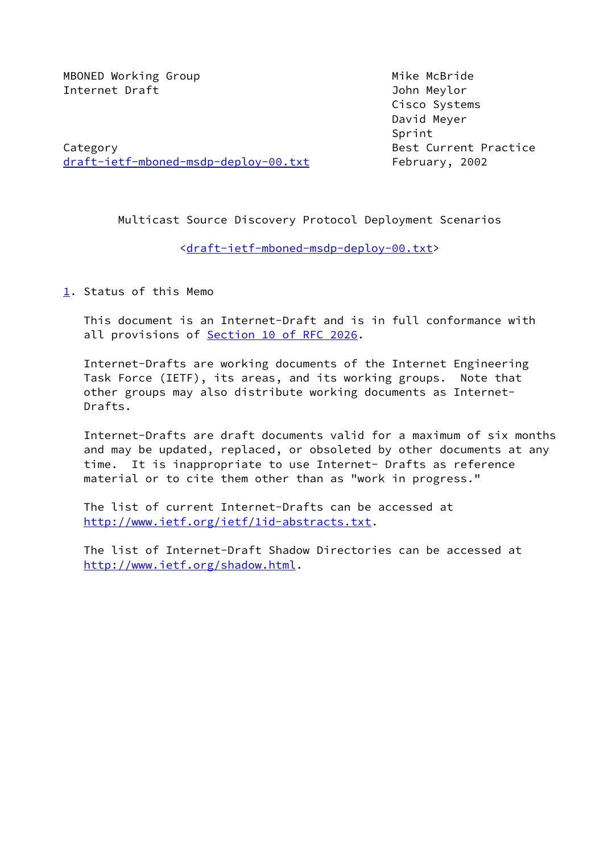MBONED Working Group Mike McBride Internet Draft John Meylor

 Cisco Systems David Meyer Sprint

Category **Best Current Practice** [draft-ietf-mboned-msdp-deploy-00.txt](https://datatracker.ietf.org/doc/pdf/draft-ietf-mboned-msdp-deploy-00.txt) February, 2002

Multicast Source Discovery Protocol Deployment Scenarios

<[draft-ietf-mboned-msdp-deploy-00.txt>](https://datatracker.ietf.org/doc/pdf/draft-ietf-mboned-msdp-deploy-00.txt)

<span id="page-0-0"></span>[1](#page-0-0). Status of this Memo

 This document is an Internet-Draft and is in full conformance with all provisions of Section [10 of RFC 2026](https://datatracker.ietf.org/doc/pdf/rfc2026#section-10).

 Internet-Drafts are working documents of the Internet Engineering Task Force (IETF), its areas, and its working groups. Note that other groups may also distribute working documents as Internet- Drafts.

 Internet-Drafts are draft documents valid for a maximum of six months and may be updated, replaced, or obsoleted by other documents at any time. It is inappropriate to use Internet- Drafts as reference material or to cite them other than as "work in progress."

 The list of current Internet-Drafts can be accessed at <http://www.ietf.org/ietf/1id-abstracts.txt>.

 The list of Internet-Draft Shadow Directories can be accessed at <http://www.ietf.org/shadow.html>.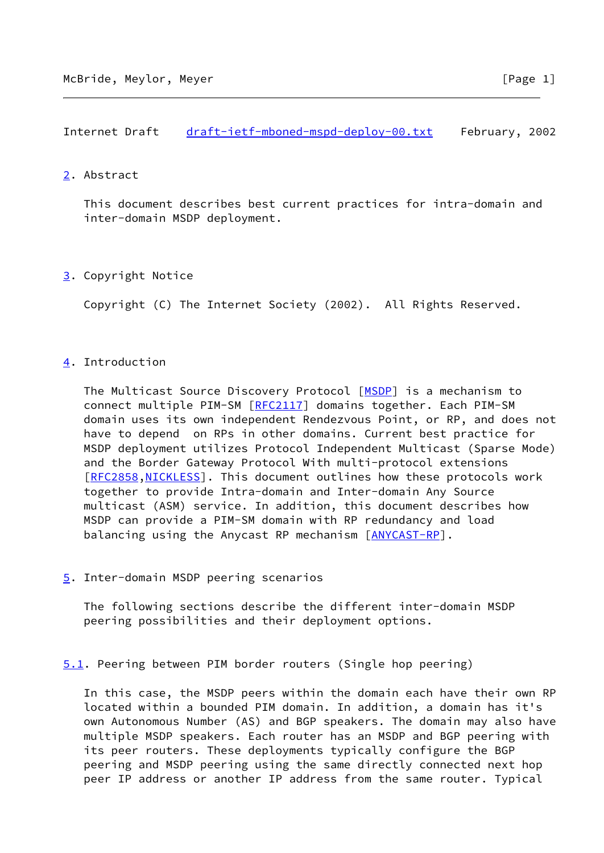## <span id="page-1-0"></span>[2](#page-1-0). Abstract

 This document describes best current practices for intra-domain and inter-domain MSDP deployment.

# <span id="page-1-1"></span>[3](#page-1-1). Copyright Notice

Copyright (C) The Internet Society (2002). All Rights Reserved.

# <span id="page-1-2"></span>[4](#page-1-2). Introduction

The Multicast Source Discovery Protocol [\[MSDP](#page-10-0)] is a mechanism to connect multiple PIM-SM [\[RFC2117](https://datatracker.ietf.org/doc/pdf/rfc2117)] domains together. Each PIM-SM domain uses its own independent Rendezvous Point, or RP, and does not have to depend on RPs in other domains. Current best practice for MSDP deployment utilizes Protocol Independent Multicast (Sparse Mode) and the Border Gateway Protocol With multi-protocol extensions [\[RFC2858](https://datatracker.ietf.org/doc/pdf/rfc2858), NICKLESS]. This document outlines how these protocols work together to provide Intra-domain and Inter-domain Any Source multicast (ASM) service. In addition, this document describes how MSDP can provide a PIM-SM domain with RP redundancy and load balancing using the Anycast RP mechanism [\[ANYCAST-RP\]](#page-10-2).

### <span id="page-1-3"></span>[5](#page-1-3). Inter-domain MSDP peering scenarios

 The following sections describe the different inter-domain MSDP peering possibilities and their deployment options.

<span id="page-1-4"></span>[5.1](#page-1-4). Peering between PIM border routers (Single hop peering)

 In this case, the MSDP peers within the domain each have their own RP located within a bounded PIM domain. In addition, a domain has it's own Autonomous Number (AS) and BGP speakers. The domain may also have multiple MSDP speakers. Each router has an MSDP and BGP peering with its peer routers. These deployments typically configure the BGP peering and MSDP peering using the same directly connected next hop peer IP address or another IP address from the same router. Typical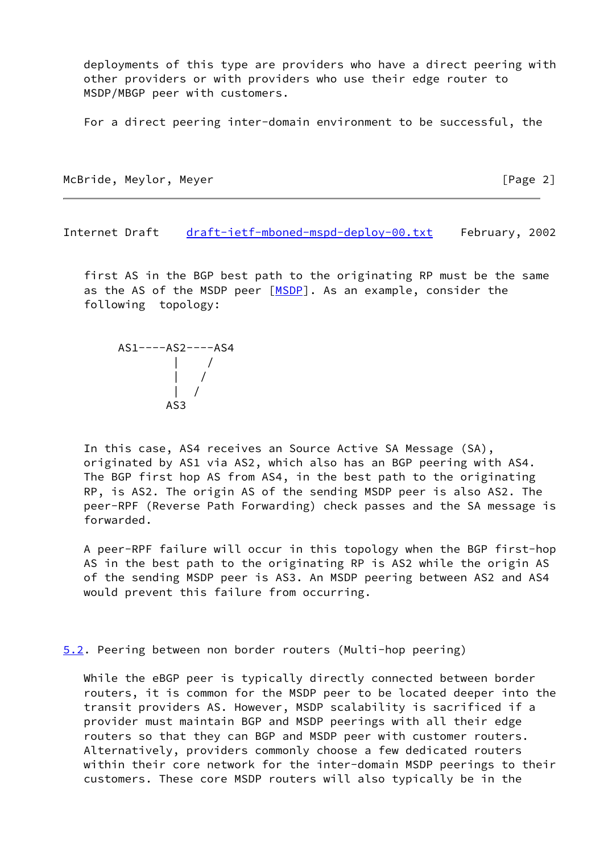deployments of this type are providers who have a direct peering with other providers or with providers who use their edge router to MSDP/MBGP peer with customers.

For a direct peering inter-domain environment to be successful, the

McBride, Meylor, Meyer **and The Control** Extending the McBride, Meylor, Meyer

Internet Draft [draft-ietf-mboned-mspd-deploy-00.txt](https://datatracker.ietf.org/doc/pdf/draft-ietf-mboned-mspd-deploy-00.txt) February, 2002

 first AS in the BGP best path to the originating RP must be the same as the AS of the MSDP peer [[MSDP\]](#page-10-0). As an example, consider the following topology:



 In this case, AS4 receives an Source Active SA Message (SA), originated by AS1 via AS2, which also has an BGP peering with AS4. The BGP first hop AS from AS4, in the best path to the originating RP, is AS2. The origin AS of the sending MSDP peer is also AS2. The peer-RPF (Reverse Path Forwarding) check passes and the SA message is forwarded.

 A peer-RPF failure will occur in this topology when the BGP first-hop AS in the best path to the originating RP is AS2 while the origin AS of the sending MSDP peer is AS3. An MSDP peering between AS2 and AS4 would prevent this failure from occurring.

<span id="page-2-0"></span>[5.2](#page-2-0). Peering between non border routers (Multi-hop peering)

 While the eBGP peer is typically directly connected between border routers, it is common for the MSDP peer to be located deeper into the transit providers AS. However, MSDP scalability is sacrificed if a provider must maintain BGP and MSDP peerings with all their edge routers so that they can BGP and MSDP peer with customer routers. Alternatively, providers commonly choose a few dedicated routers within their core network for the inter-domain MSDP peerings to their customers. These core MSDP routers will also typically be in the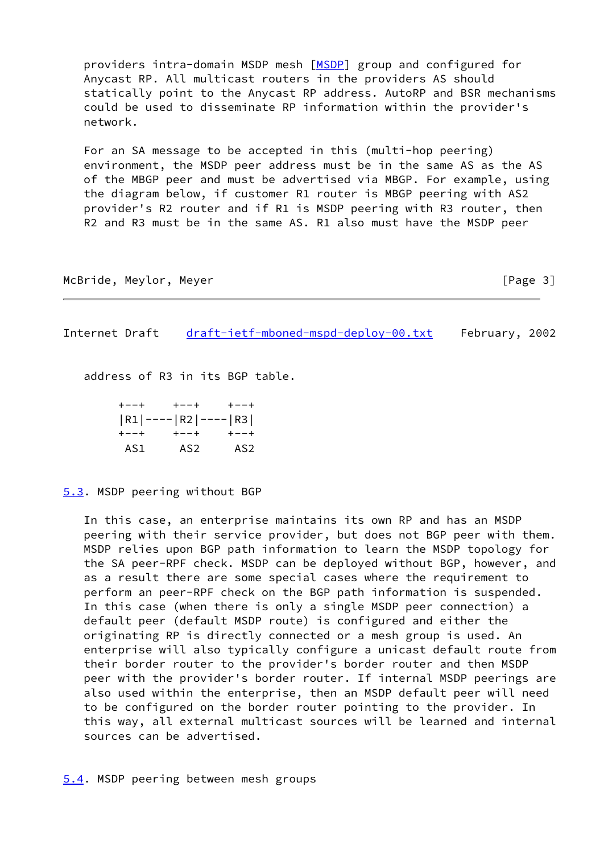providers intra-domain MSDP mesh [\[MSDP](#page-10-0)] group and configured for Anycast RP. All multicast routers in the providers AS should statically point to the Anycast RP address. AutoRP and BSR mechanisms could be used to disseminate RP information within the provider's network.

 For an SA message to be accepted in this (multi-hop peering) environment, the MSDP peer address must be in the same AS as the AS of the MBGP peer and must be advertised via MBGP. For example, using the diagram below, if customer R1 router is MBGP peering with AS2 provider's R2 router and if R1 is MSDP peering with R3 router, then R2 and R3 must be in the same AS. R1 also must have the MSDP peer

McBride, Meylor, Meyer **and The Control** Extending the McBride, Meylor, Meyer

Internet Draft [draft-ietf-mboned-mspd-deploy-00.txt](https://datatracker.ietf.org/doc/pdf/draft-ietf-mboned-mspd-deploy-00.txt) February, 2002

address of R3 in its BGP table.

 +--+ +--+ +--+ |R1|----|R2|----|R3| +--+ +--+ +--+ AS1 AS2 AS2

<span id="page-3-0"></span>[5.3](#page-3-0). MSDP peering without BGP

 In this case, an enterprise maintains its own RP and has an MSDP peering with their service provider, but does not BGP peer with them. MSDP relies upon BGP path information to learn the MSDP topology for the SA peer-RPF check. MSDP can be deployed without BGP, however, and as a result there are some special cases where the requirement to perform an peer-RPF check on the BGP path information is suspended. In this case (when there is only a single MSDP peer connection) a default peer (default MSDP route) is configured and either the originating RP is directly connected or a mesh group is used. An enterprise will also typically configure a unicast default route from their border router to the provider's border router and then MSDP peer with the provider's border router. If internal MSDP peerings are also used within the enterprise, then an MSDP default peer will need to be configured on the border router pointing to the provider. In this way, all external multicast sources will be learned and internal sources can be advertised.

<span id="page-3-1"></span>[5.4](#page-3-1). MSDP peering between mesh groups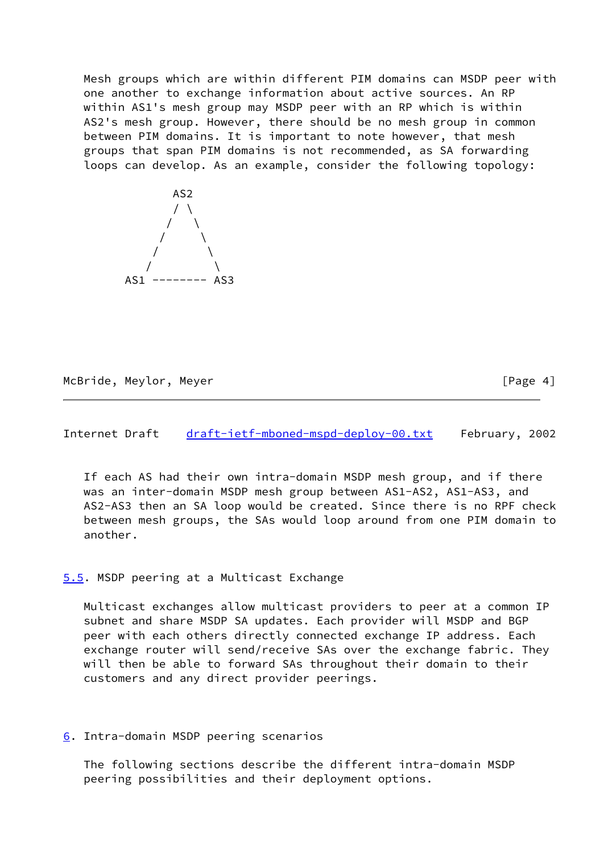Mesh groups which are within different PIM domains can MSDP peer with one another to exchange information about active sources. An RP within AS1's mesh group may MSDP peer with an RP which is within AS2's mesh group. However, there should be no mesh group in common between PIM domains. It is important to note however, that mesh groups that span PIM domains is not recommended, as SA forwarding loops can develop. As an example, consider the following topology:



McBride, Meylor, Meyer **and School** Frage 4]

Internet Draft [draft-ietf-mboned-mspd-deploy-00.txt](https://datatracker.ietf.org/doc/pdf/draft-ietf-mboned-mspd-deploy-00.txt) February, 2002

 If each AS had their own intra-domain MSDP mesh group, and if there was an inter-domain MSDP mesh group between AS1-AS2, AS1-AS3, and AS2-AS3 then an SA loop would be created. Since there is no RPF check between mesh groups, the SAs would loop around from one PIM domain to another.

### <span id="page-4-0"></span>[5.5](#page-4-0). MSDP peering at a Multicast Exchange

 Multicast exchanges allow multicast providers to peer at a common IP subnet and share MSDP SA updates. Each provider will MSDP and BGP peer with each others directly connected exchange IP address. Each exchange router will send/receive SAs over the exchange fabric. They will then be able to forward SAs throughout their domain to their customers and any direct provider peerings.

<span id="page-4-1"></span>[6](#page-4-1). Intra-domain MSDP peering scenarios

 The following sections describe the different intra-domain MSDP peering possibilities and their deployment options.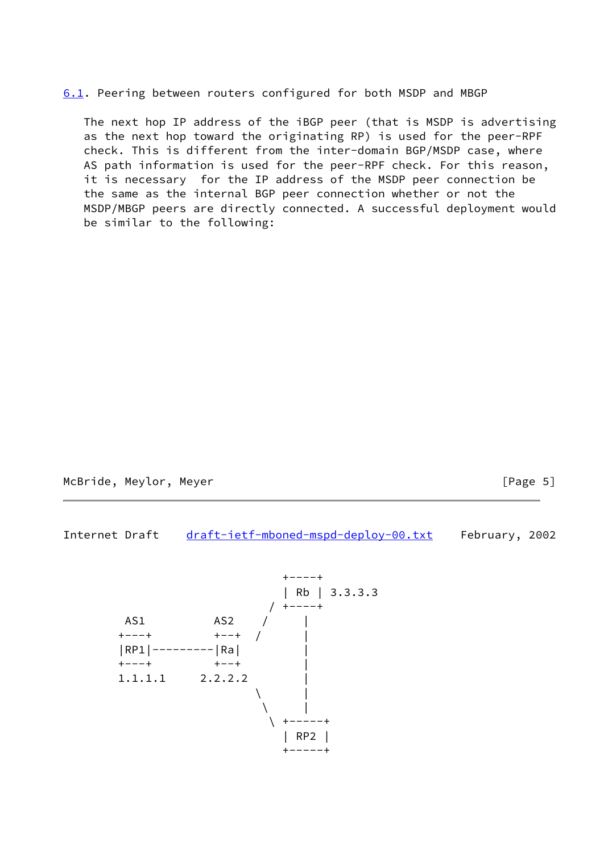<span id="page-5-0"></span>[6.1](#page-5-0). Peering between routers configured for both MSDP and MBGP

 The next hop IP address of the iBGP peer (that is MSDP is advertising as the next hop toward the originating RP) is used for the peer-RPF check. This is different from the inter-domain BGP/MSDP case, where AS path information is used for the peer-RPF check. For this reason, it is necessary for the IP address of the MSDP peer connection be the same as the internal BGP peer connection whether or not the MSDP/MBGP peers are directly connected. A successful deployment would be similar to the following:

McBride, Meylor, Meyer **and The Control** Extending the McBride, Meylor, Meyer

Internet Draft [draft-ietf-mboned-mspd-deploy-00.txt](https://datatracker.ietf.org/doc/pdf/draft-ietf-mboned-mspd-deploy-00.txt) February, 2002

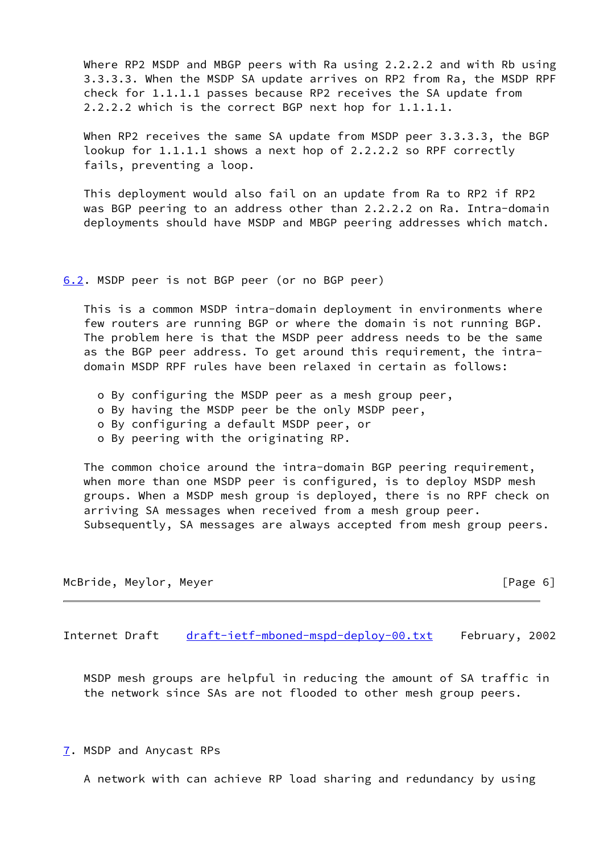Where RP2 MSDP and MBGP peers with Ra using 2.2.2.2 and with Rb using 3.3.3.3. When the MSDP SA update arrives on RP2 from Ra, the MSDP RPF check for 1.1.1.1 passes because RP2 receives the SA update from 2.2.2.2 which is the correct BGP next hop for 1.1.1.1.

 When RP2 receives the same SA update from MSDP peer 3.3.3.3, the BGP lookup for 1.1.1.1 shows a next hop of 2.2.2.2 so RPF correctly fails, preventing a loop.

 This deployment would also fail on an update from Ra to RP2 if RP2 was BGP peering to an address other than 2.2.2.2 on Ra. Intra-domain deployments should have MSDP and MBGP peering addresses which match.

<span id="page-6-0"></span>[6.2](#page-6-0). MSDP peer is not BGP peer (or no BGP peer)

 This is a common MSDP intra-domain deployment in environments where few routers are running BGP or where the domain is not running BGP. The problem here is that the MSDP peer address needs to be the same as the BGP peer address. To get around this requirement, the intra domain MSDP RPF rules have been relaxed in certain as follows:

- o By configuring the MSDP peer as a mesh group peer,
- o By having the MSDP peer be the only MSDP peer,
- o By configuring a default MSDP peer, or
- o By peering with the originating RP.

 The common choice around the intra-domain BGP peering requirement, when more than one MSDP peer is configured, is to deploy MSDP mesh groups. When a MSDP mesh group is deployed, there is no RPF check on arriving SA messages when received from a mesh group peer. Subsequently, SA messages are always accepted from mesh group peers.

McBride, Meylor, Meyer [Page 6] [Page 6]

Internet Draft [draft-ietf-mboned-mspd-deploy-00.txt](https://datatracker.ietf.org/doc/pdf/draft-ietf-mboned-mspd-deploy-00.txt) February, 2002

 MSDP mesh groups are helpful in reducing the amount of SA traffic in the network since SAs are not flooded to other mesh group peers.

<span id="page-6-1"></span>[7](#page-6-1). MSDP and Anycast RPs

A network with can achieve RP load sharing and redundancy by using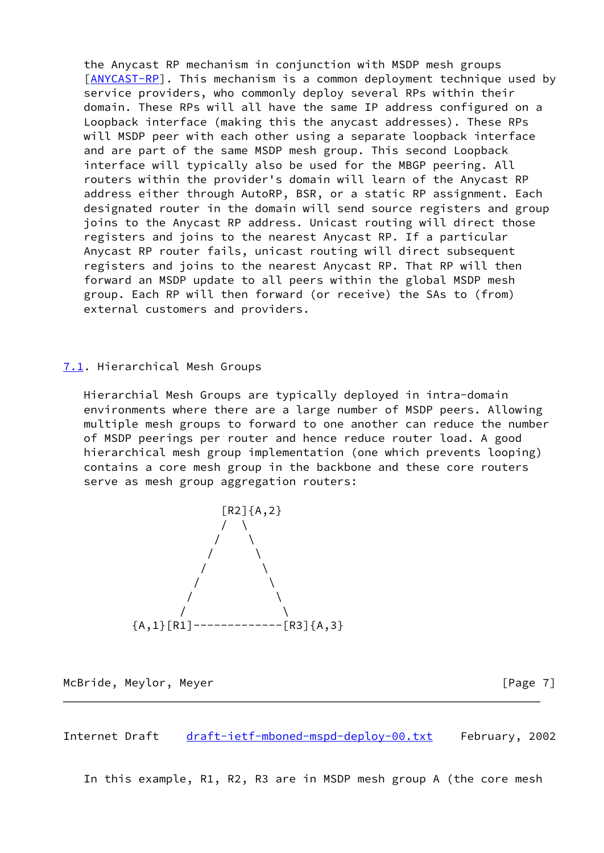the Anycast RP mechanism in conjunction with MSDP mesh groups [\[ANYCAST-RP\]](#page-10-2). This mechanism is a common deployment technique used by service providers, who commonly deploy several RPs within their domain. These RPs will all have the same IP address configured on a Loopback interface (making this the anycast addresses). These RPs will MSDP peer with each other using a separate loopback interface and are part of the same MSDP mesh group. This second Loopback interface will typically also be used for the MBGP peering. All routers within the provider's domain will learn of the Anycast RP address either through AutoRP, BSR, or a static RP assignment. Each designated router in the domain will send source registers and group joins to the Anycast RP address. Unicast routing will direct those registers and joins to the nearest Anycast RP. If a particular Anycast RP router fails, unicast routing will direct subsequent registers and joins to the nearest Anycast RP. That RP will then forward an MSDP update to all peers within the global MSDP mesh group. Each RP will then forward (or receive) the SAs to (from) external customers and providers.

## <span id="page-7-0"></span>[7.1](#page-7-0). Hierarchical Mesh Groups

 Hierarchial Mesh Groups are typically deployed in intra-domain environments where there are a large number of MSDP peers. Allowing multiple mesh groups to forward to one another can reduce the number of MSDP peerings per router and hence reduce router load. A good hierarchical mesh group implementation (one which prevents looping) contains a core mesh group in the backbone and these core routers serve as mesh group aggregation routers:



McBride, Meylor, Meyer [Page 7]

Internet Draft [draft-ietf-mboned-mspd-deploy-00.txt](https://datatracker.ietf.org/doc/pdf/draft-ietf-mboned-mspd-deploy-00.txt) February, 2002

In this example, R1, R2, R3 are in MSDP mesh group A (the core mesh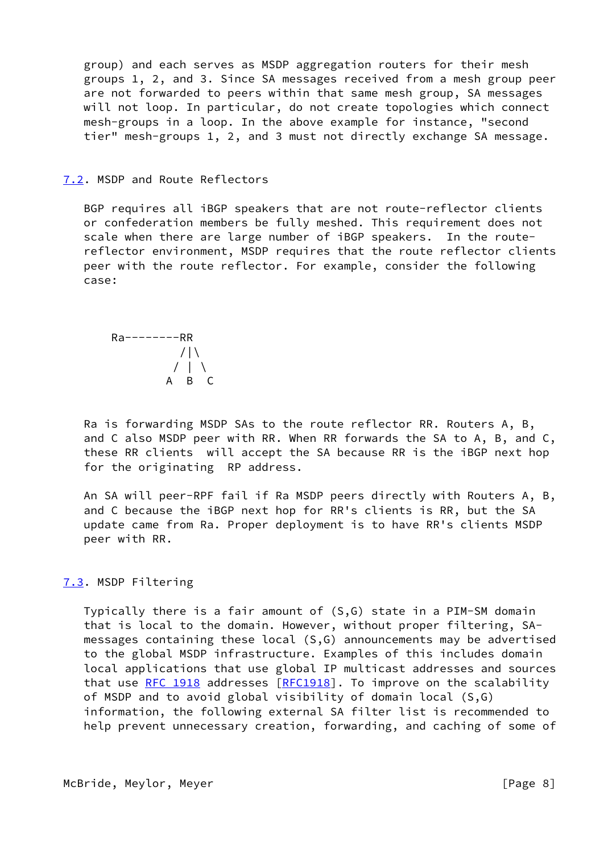group) and each serves as MSDP aggregation routers for their mesh groups 1, 2, and 3. Since SA messages received from a mesh group peer are not forwarded to peers within that same mesh group, SA messages will not loop. In particular, do not create topologies which connect mesh-groups in a loop. In the above example for instance, "second tier" mesh-groups 1, 2, and 3 must not directly exchange SA message.

<span id="page-8-0"></span>[7.2](#page-8-0). MSDP and Route Reflectors

 BGP requires all iBGP speakers that are not route-reflector clients or confederation members be fully meshed. This requirement does not scale when there are large number of iBGP speakers. In the route reflector environment, MSDP requires that the route reflector clients peer with the route reflector. For example, consider the following case:

 Ra--------RR  $/|\Upsilon|$  $/$  | \ A B C

 Ra is forwarding MSDP SAs to the route reflector RR. Routers A, B, and C also MSDP peer with RR. When RR forwards the SA to A, B, and C, these RR clients will accept the SA because RR is the iBGP next hop for the originating RP address.

 An SA will peer-RPF fail if Ra MSDP peers directly with Routers A, B, and C because the iBGP next hop for RR's clients is RR, but the SA update came from Ra. Proper deployment is to have RR's clients MSDP peer with RR.

# <span id="page-8-1"></span>[7.3](#page-8-1). MSDP Filtering

 Typically there is a fair amount of (S,G) state in a PIM-SM domain that is local to the domain. However, without proper filtering, SA messages containing these local (S,G) announcements may be advertised to the global MSDP infrastructure. Examples of this includes domain local applications that use global IP multicast addresses and sources that use [RFC 1918](https://datatracker.ietf.org/doc/pdf/rfc1918) addresses [\[RFC1918](https://datatracker.ietf.org/doc/pdf/rfc1918)]. To improve on the scalability of MSDP and to avoid global visibility of domain local (S,G) information, the following external SA filter list is recommended to help prevent unnecessary creation, forwarding, and caching of some of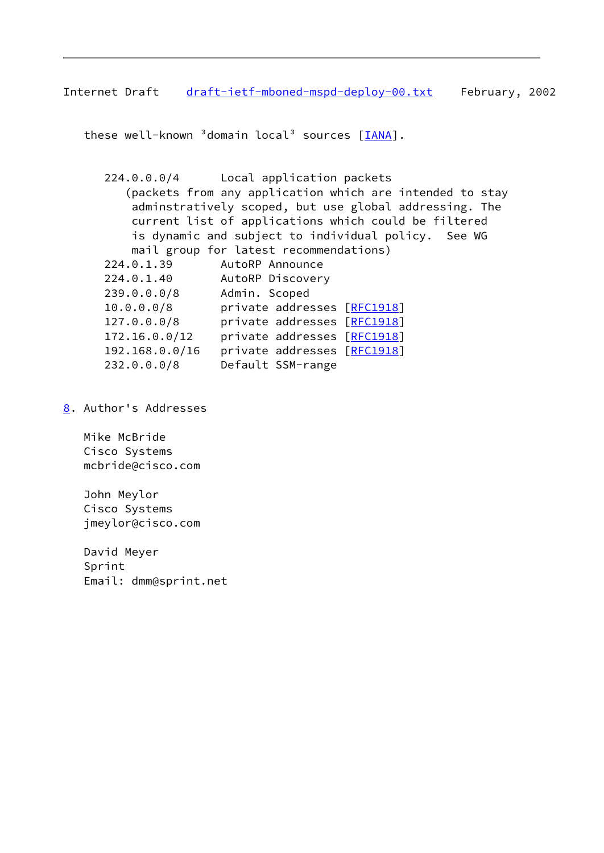Internet Draft [draft-ietf-mboned-mspd-deploy-00.txt](https://datatracker.ietf.org/doc/pdf/draft-ietf-mboned-mspd-deploy-00.txt) February, 2002

these well-known  $3$  domain local<sup>3</sup> sources  $[\underline{IANA}]$ .

 224.0.0.0/4 Local application packets (packets from any application which are intended to stay adminstratively scoped, but use global addressing. The current list of applications which could be filtered is dynamic and subject to individual policy. See WG mail group for latest recommendations) 224.0.1.39 AutoRP Announce 224.0.1.40 AutoRP Discovery 239.0.0.0/8 Admin. Scoped

- 10.0.0.0/8 private addresses [[RFC1918](https://datatracker.ietf.org/doc/pdf/rfc1918)] 127.0.0.0/8 private addresses [[RFC1918](https://datatracker.ietf.org/doc/pdf/rfc1918)] 172.16.0.0/12 private addresses [[RFC1918](https://datatracker.ietf.org/doc/pdf/rfc1918)] 192.168.0.0/16 private addresses [[RFC1918](https://datatracker.ietf.org/doc/pdf/rfc1918)] 232.0.0.0/8 Default SSM-range
- <span id="page-9-0"></span>[8](#page-9-0). Author's Addresses

 Mike McBride Cisco Systems mcbride@cisco.com

 John Meylor Cisco Systems jmeylor@cisco.com

 David Meyer Sprint Email: dmm@sprint.net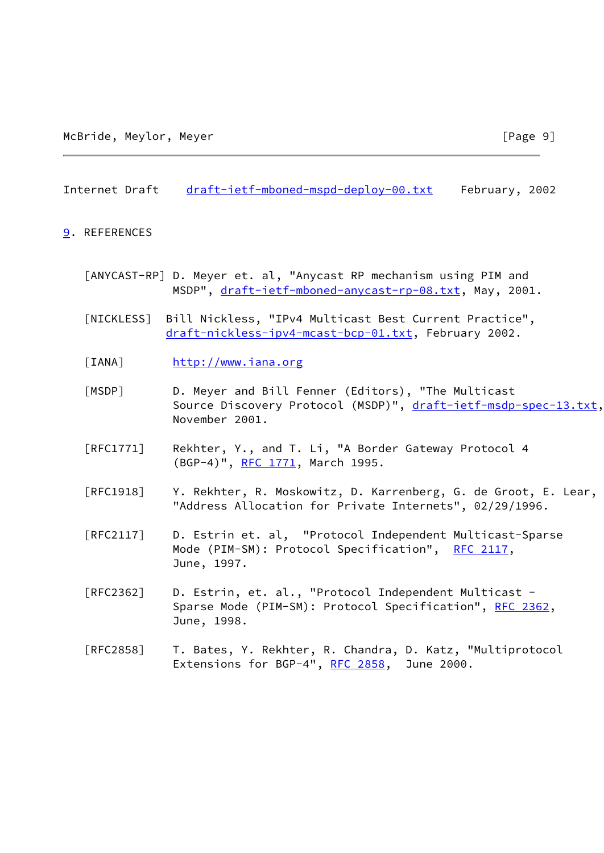#### Internet Draft [draft-ietf-mboned-mspd-deploy-00.txt](https://datatracker.ietf.org/doc/pdf/draft-ietf-mboned-mspd-deploy-00.txt) February, 2002

#### <span id="page-10-4"></span>[9](#page-10-4). REFERENCES

- <span id="page-10-2"></span> [ANYCAST-RP] D. Meyer et. al, "Anycast RP mechanism using PIM and MSDP", [draft-ietf-mboned-anycast-rp-08.txt,](https://datatracker.ietf.org/doc/pdf/draft-ietf-mboned-anycast-rp-08.txt) May, 2001.
- <span id="page-10-1"></span> [NICKLESS] Bill Nickless, "IPv4 Multicast Best Current Practice", [draft-nickless-ipv4-mcast-bcp-01.txt,](https://datatracker.ietf.org/doc/pdf/draft-nickless-ipv4-mcast-bcp-01.txt) February 2002.
- <span id="page-10-3"></span>[IANA] <http://www.iana.org>
- <span id="page-10-0"></span> [MSDP] D. Meyer and Bill Fenner (Editors), "The Multicast Source Discovery Protocol (MSDP)", [draft-ietf-msdp-spec-13.txt](https://datatracker.ietf.org/doc/pdf/draft-ietf-msdp-spec-13.txt), November 2001.
- [RFC1771] Rekhter, Y., and T. Li, "A Border Gateway Protocol 4 (BGP-4)", [RFC 1771,](https://datatracker.ietf.org/doc/pdf/rfc1771) March 1995.
- [RFC1918] Y. Rekhter, R. Moskowitz, D. Karrenberg, G. de Groot, E. Lear, "Address Allocation for Private Internets", 02/29/1996.
- [RFC2117] D. Estrin et. al, "Protocol Independent Multicast-Sparse Mode (PIM-SM): Protocol Specification", [RFC 2117](https://datatracker.ietf.org/doc/pdf/rfc2117), June, 1997.
- [RFC2362] D. Estrin, et. al., "Protocol Independent Multicast Sparse Mode (PIM-SM): Protocol Specification", [RFC 2362,](https://datatracker.ietf.org/doc/pdf/rfc2362) June, 1998.
- [RFC2858] T. Bates, Y. Rekhter, R. Chandra, D. Katz, "Multiprotocol Extensions for BGP-4", [RFC 2858,](https://datatracker.ietf.org/doc/pdf/rfc2858) June 2000.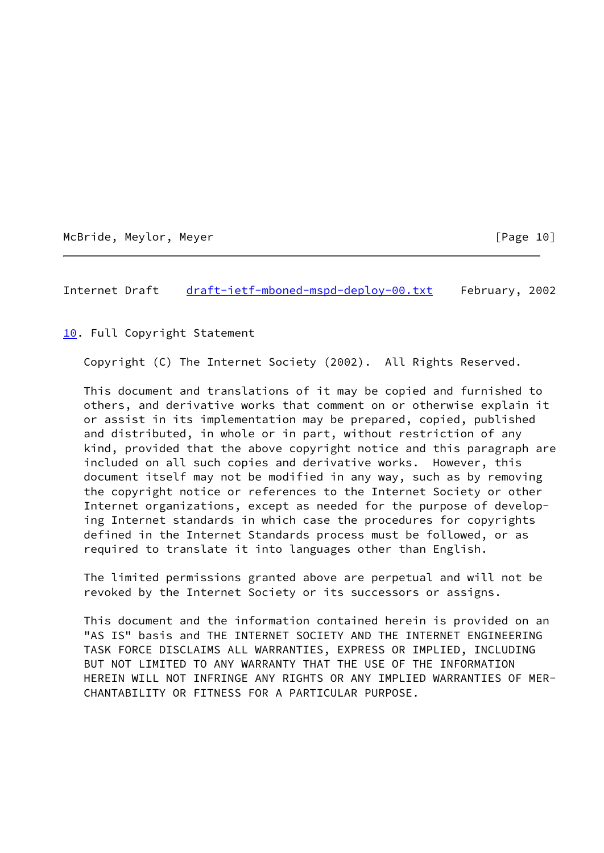McBride, Meylor, Meyer [Page 10]

Internet Draft [draft-ietf-mboned-mspd-deploy-00.txt](https://datatracker.ietf.org/doc/pdf/draft-ietf-mboned-mspd-deploy-00.txt) February, 2002

<span id="page-11-0"></span>[10.](#page-11-0) Full Copyright Statement

Copyright (C) The Internet Society (2002). All Rights Reserved.

 This document and translations of it may be copied and furnished to others, and derivative works that comment on or otherwise explain it or assist in its implementation may be prepared, copied, published and distributed, in whole or in part, without restriction of any kind, provided that the above copyright notice and this paragraph are included on all such copies and derivative works. However, this document itself may not be modified in any way, such as by removing the copyright notice or references to the Internet Society or other Internet organizations, except as needed for the purpose of develop ing Internet standards in which case the procedures for copyrights defined in the Internet Standards process must be followed, or as required to translate it into languages other than English.

 The limited permissions granted above are perpetual and will not be revoked by the Internet Society or its successors or assigns.

 This document and the information contained herein is provided on an "AS IS" basis and THE INTERNET SOCIETY AND THE INTERNET ENGINEERING TASK FORCE DISCLAIMS ALL WARRANTIES, EXPRESS OR IMPLIED, INCLUDING BUT NOT LIMITED TO ANY WARRANTY THAT THE USE OF THE INFORMATION HEREIN WILL NOT INFRINGE ANY RIGHTS OR ANY IMPLIED WARRANTIES OF MER- CHANTABILITY OR FITNESS FOR A PARTICULAR PURPOSE.